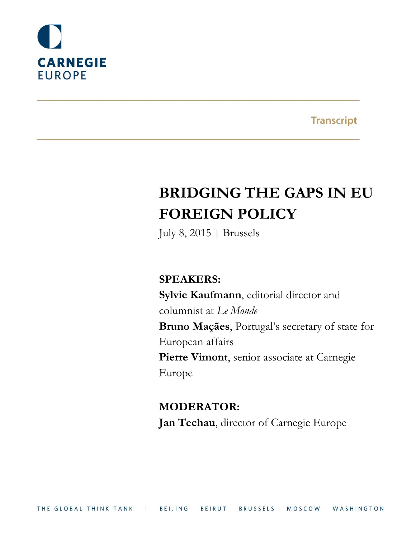

**Transcript** 

# **BRIDGING THE GAPS IN EU FOREIGN POLICY**

July 8, 2015 | Brussels

**SPEAKERS:**

**Sylvie Kaufmann**, editorial director and columnist at *Le Monde* **Bruno Maçães**, Portugal's secretary of state for European affairs **Pierre Vimont**, senior associate at Carnegie Europe

**MODERATOR: Jan Techau**, director of Carnegie Europe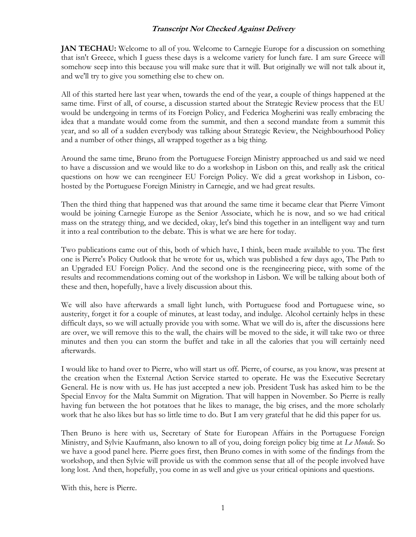**JAN TECHAU:** Welcome to all of you. Welcome to Carnegie Europe for a discussion on something that isn't Greece, which I guess these days is a welcome variety for lunch fare. I am sure Greece will somehow seep into this because you will make sure that it will. But originally we will not talk about it, and we'll try to give you something else to chew on.

All of this started here last year when, towards the end of the year, a couple of things happened at the same time. First of all, of course, a discussion started about the Strategic Review process that the EU would be undergoing in terms of its Foreign Policy, and Federica Mogherini was really embracing the idea that a mandate would come from the summit, and then a second mandate from a summit this year, and so all of a sudden everybody was talking about Strategic Review, the Neighbourhood Policy and a number of other things, all wrapped together as a big thing.

Around the same time, Bruno from the Portuguese Foreign Ministry approached us and said we need to have a discussion and we would like to do a workshop in Lisbon on this, and really ask the critical questions on how we can reengineer EU Foreign Policy. We did a great workshop in Lisbon, cohosted by the Portuguese Foreign Ministry in Carnegie, and we had great results.

Then the third thing that happened was that around the same time it became clear that Pierre Vimont would be joining Carnegie Europe as the Senior Associate, which he is now, and so we had critical mass on the strategy thing, and we decided, okay, let's bind this together in an intelligent way and turn it into a real contribution to the debate. This is what we are here for today.

Two publications came out of this, both of which have, I think, been made available to you. The first one is Pierre's Policy Outlook that he wrote for us, which was published a few days ago, The Path to an Upgraded EU Foreign Policy. And the second one is the reengineering piece, with some of the results and recommendations coming out of the workshop in Lisbon. We will be talking about both of these and then, hopefully, have a lively discussion about this.

We will also have afterwards a small light lunch, with Portuguese food and Portuguese wine, so austerity, forget it for a couple of minutes, at least today, and indulge. Alcohol certainly helps in these difficult days, so we will actually provide you with some. What we will do is, after the discussions here are over, we will remove this to the wall, the chairs will be moved to the side, it will take two or three minutes and then you can storm the buffet and take in all the calories that you will certainly need afterwards.

I would like to hand over to Pierre, who will start us off. Pierre, of course, as you know, was present at the creation when the External Action Service started to operate. He was the Executive Secretary General. He is now with us. He has just accepted a new job. President Tusk has asked him to be the Special Envoy for the Malta Summit on Migration. That will happen in November. So Pierre is really having fun between the hot potatoes that he likes to manage, the big crises, and the more scholarly work that he also likes but has so little time to do. But I am very grateful that he did this paper for us.

Then Bruno is here with us, Secretary of State for European Affairs in the Portuguese Foreign Ministry, and Sylvie Kaufmann, also known to all of you, doing foreign policy big time at *Le Monde*. So we have a good panel here. Pierre goes first, then Bruno comes in with some of the findings from the workshop, and then Sylvie will provide us with the common sense that all of the people involved have long lost. And then, hopefully, you come in as well and give us your critical opinions and questions.

With this, here is Pierre.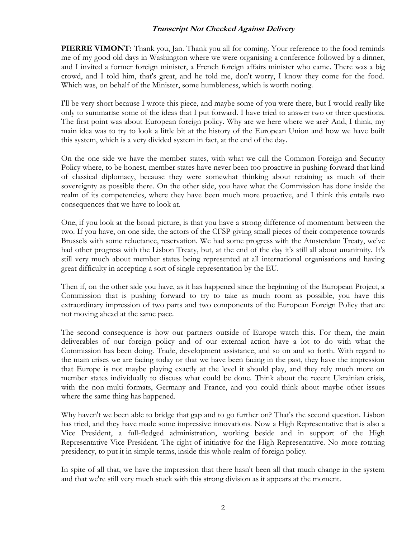**PIERRE VIMONT:** Thank you, Jan. Thank you all for coming. Your reference to the food reminds me of my good old days in Washington where we were organising a conference followed by a dinner, and I invited a former foreign minister, a French foreign affairs minister who came. There was a big crowd, and I told him, that's great, and he told me, don't worry, I know they come for the food. Which was, on behalf of the Minister, some humbleness, which is worth noting.

I'll be very short because I wrote this piece, and maybe some of you were there, but I would really like only to summarise some of the ideas that I put forward. I have tried to answer two or three questions. The first point was about European foreign policy. Why are we here where we are? And, I think, my main idea was to try to look a little bit at the history of the European Union and how we have built this system, which is a very divided system in fact, at the end of the day.

On the one side we have the member states, with what we call the Common Foreign and Security Policy where, to be honest, member states have never been too proactive in pushing forward that kind of classical diplomacy, because they were somewhat thinking about retaining as much of their sovereignty as possible there. On the other side, you have what the Commission has done inside the realm of its competencies, where they have been much more proactive, and I think this entails two consequences that we have to look at.

One, if you look at the broad picture, is that you have a strong difference of momentum between the two. If you have, on one side, the actors of the CFSP giving small pieces of their competence towards Brussels with some reluctance, reservation. We had some progress with the Amsterdam Treaty, we've had other progress with the Lisbon Treaty, but, at the end of the day it's still all about unanimity. It's still very much about member states being represented at all international organisations and having great difficulty in accepting a sort of single representation by the EU.

Then if, on the other side you have, as it has happened since the beginning of the European Project, a Commission that is pushing forward to try to take as much room as possible, you have this extraordinary impression of two parts and two components of the European Foreign Policy that are not moving ahead at the same pace.

The second consequence is how our partners outside of Europe watch this. For them, the main deliverables of our foreign policy and of our external action have a lot to do with what the Commission has been doing. Trade, development assistance, and so on and so forth. With regard to the main crises we are facing today or that we have been facing in the past, they have the impression that Europe is not maybe playing exactly at the level it should play, and they rely much more on member states individually to discuss what could be done. Think about the recent Ukrainian crisis, with the non-multi formats, Germany and France, and you could think about maybe other issues where the same thing has happened.

Why haven't we been able to bridge that gap and to go further on? That's the second question. Lisbon has tried, and they have made some impressive innovations. Now a High Representative that is also a Vice President, a full-fledged administration, working beside and in support of the High Representative Vice President. The right of initiative for the High Representative. No more rotating presidency, to put it in simple terms, inside this whole realm of foreign policy.

In spite of all that, we have the impression that there hasn't been all that much change in the system and that we're still very much stuck with this strong division as it appears at the moment.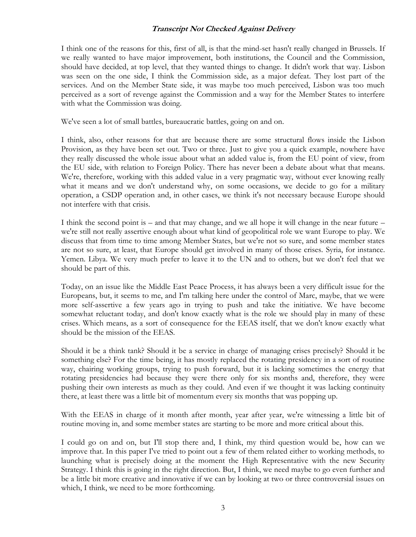I think one of the reasons for this, first of all, is that the mind-set hasn't really changed in Brussels. If we really wanted to have major improvement, both institutions, the Council and the Commission, should have decided, at top level, that they wanted things to change. It didn't work that way. Lisbon was seen on the one side, I think the Commission side, as a major defeat. They lost part of the services. And on the Member State side, it was maybe too much perceived, Lisbon was too much perceived as a sort of revenge against the Commission and a way for the Member States to interfere with what the Commission was doing.

We've seen a lot of small battles, bureaucratic battles, going on and on.

I think, also, other reasons for that are because there are some structural flows inside the Lisbon Provision, as they have been set out. Two or three. Just to give you a quick example, nowhere have they really discussed the whole issue about what an added value is, from the EU point of view, from the EU side, with relation to Foreign Policy. There has never been a debate about what that means. We're, therefore, working with this added value in a very pragmatic way, without ever knowing really what it means and we don't understand why, on some occasions, we decide to go for a military operation, a CSDP operation and, in other cases, we think it's not necessary because Europe should not interfere with that crisis.

I think the second point is – and that may change, and we all hope it will change in the near future – we're still not really assertive enough about what kind of geopolitical role we want Europe to play. We discuss that from time to time among Member States, but we're not so sure, and some member states are not so sure, at least, that Europe should get involved in many of those crises. Syria, for instance. Yemen. Libya. We very much prefer to leave it to the UN and to others, but we don't feel that we should be part of this.

Today, on an issue like the Middle East Peace Process, it has always been a very difficult issue for the Europeans, but, it seems to me, and I'm talking here under the control of Marc, maybe, that we were more self-assertive a few years ago in trying to push and take the initiative. We have become somewhat reluctant today, and don't know exactly what is the role we should play in many of these crises. Which means, as a sort of consequence for the EEAS itself, that we don't know exactly what should be the mission of the EEAS.

Should it be a think tank? Should it be a service in charge of managing crises precisely? Should it be something else? For the time being, it has mostly replaced the rotating presidency in a sort of routine way, chairing working groups, trying to push forward, but it is lacking sometimes the energy that rotating presidencies had because they were there only for six months and, therefore, they were pushing their own interests as much as they could. And even if we thought it was lacking continuity there, at least there was a little bit of momentum every six months that was popping up.

With the EEAS in charge of it month after month, year after year, we're witnessing a little bit of routine moving in, and some member states are starting to be more and more critical about this.

I could go on and on, but I'll stop there and, I think, my third question would be, how can we improve that. In this paper I've tried to point out a few of them related either to working methods, to launching what is precisely doing at the moment the High Representative with the new Security Strategy. I think this is going in the right direction. But, I think, we need maybe to go even further and be a little bit more creative and innovative if we can by looking at two or three controversial issues on which, I think, we need to be more forthcoming.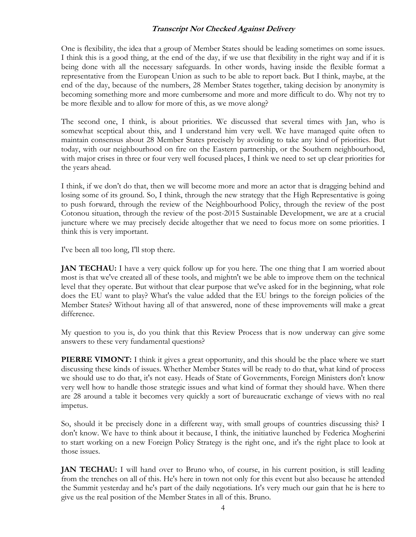One is flexibility, the idea that a group of Member States should be leading sometimes on some issues. I think this is a good thing, at the end of the day, if we use that flexibility in the right way and if it is being done with all the necessary safeguards. In other words, having inside the flexible format a representative from the European Union as such to be able to report back. But I think, maybe, at the end of the day, because of the numbers, 28 Member States together, taking decision by anonymity is becoming something more and more cumbersome and more and more difficult to do. Why not try to be more flexible and to allow for more of this, as we move along?

The second one, I think, is about priorities. We discussed that several times with Jan, who is somewhat sceptical about this, and I understand him very well. We have managed quite often to maintain consensus about 28 Member States precisely by avoiding to take any kind of priorities. But today, with our neighbourhood on fire on the Eastern partnership, or the Southern neighbourhood, with major crises in three or four very well focused places, I think we need to set up clear priorities for the years ahead.

I think, if we don't do that, then we will become more and more an actor that is dragging behind and losing some of its ground. So, I think, through the new strategy that the High Representative is going to push forward, through the review of the Neighbourhood Policy, through the review of the post Cotonou situation, through the review of the post-2015 Sustainable Development, we are at a crucial juncture where we may precisely decide altogether that we need to focus more on some priorities. I think this is very important.

I've been all too long, I'll stop there.

**JAN TECHAU:** I have a very quick follow up for you here. The one thing that I am worried about most is that we've created all of these tools, and mightn't we be able to improve them on the technical level that they operate. But without that clear purpose that we've asked for in the beginning, what role does the EU want to play? What's the value added that the EU brings to the foreign policies of the Member States? Without having all of that answered, none of these improvements will make a great difference.

My question to you is, do you think that this Review Process that is now underway can give some answers to these very fundamental questions?

**PIERRE VIMONT:** I think it gives a great opportunity, and this should be the place where we start discussing these kinds of issues. Whether Member States will be ready to do that, what kind of process we should use to do that, it's not easy. Heads of State of Governments, Foreign Ministers don't know very well how to handle those strategic issues and what kind of format they should have. When there are 28 around a table it becomes very quickly a sort of bureaucratic exchange of views with no real impetus.

So, should it be precisely done in a different way, with small groups of countries discussing this? I don't know. We have to think about it because, I think, the initiative launched by Federica Mogherini to start working on a new Foreign Policy Strategy is the right one, and it's the right place to look at those issues.

**JAN TECHAU:** I will hand over to Bruno who, of course, in his current position, is still leading from the trenches on all of this. He's here in town not only for this event but also because he attended the Summit yesterday and he's part of the daily negotiations. It's very much our gain that he is here to give us the real position of the Member States in all of this. Bruno.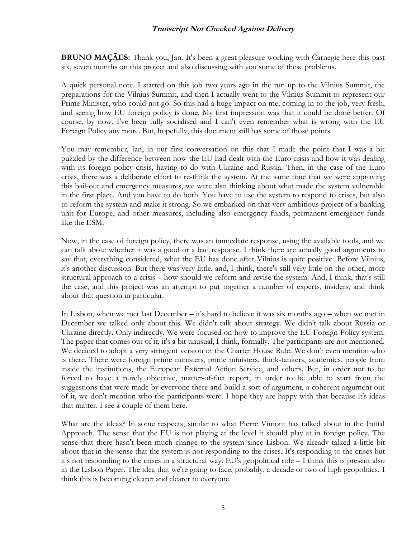**BRUNO MAÇÃES:** Thank you, Jan. It's been a great pleasure working with Carnegie here this past six, seven months on this project and also discussing with you some of these problems.

A quick personal note. I started on this job two years ago in the run up to the Vilnius Summit, the preparations for the Vilnius Summit, and then I actually went to the Vilnius Summit to represent our Prime Minister, who could not go. So this had a huge impact on me, coming in to the job, very fresh, and seeing how EU foreign policy is done. My first impression was that it could be done better. Of course, by now, I've been fully socialised and I can't even remember what is wrong with the EU Foreign Policy any more. But, hopefully, this document still has some of those points.

You may remember, Jan, in our first conversation on this that I made the point that I was a bit puzzled by the difference between how the EU had dealt with the Euro crisis and how it was dealing with its foreign policy crisis, having to do with Ukraine and Russia. Then, in the case of the Euro crisis, there was a deliberate effort to re-think the system. At the same time that we were approving this bail-out and emergency measures, we were also thinking about what made the system vulnerable in the first place. And you have to do both. You have to use the system to respond to crises, but also to reform the system and make it strong. So we embarked on that very ambitious project of a banking unit for Europe, and other measures, including also emergency funds, permanent emergency funds like the ESM.

Now, in the case of foreign policy, there was an immediate response, using the available tools, and we can talk about whether it was a good or a bad response. I think there are actually good arguments to say that, everything considered, what the EU has done after Vilnius is quite positive. Before Vilnius, it's another discussion. But there was very little, and, I think, there's still very little on the other, more structural approach to a crisis – how should we reform and revise the system. And, I think, that's still the case, and this project was an attempt to put together a number of experts, insiders, and think about that question in particular.

In Lisbon, when we met last December – it's hard to believe it was six months ago – when we met in December we talked only about this. We didn't talk about strategy. We didn't talk about Russia or Ukraine directly. Only indirectly. We were focused on how to improve the EU Foreign Policy system. The paper that comes out of it, it's a bit unusual, I think, formally. The participants are not mentioned. We decided to adopt a very stringent version of the Charter House Rule. We don't even mention who is there. There were foreign prime ministers, prime ministers, think-tankers, academics, people from inside the institutions, the European External Action Service, and others. But, in order not to be forced to have a purely objective, matter-of-fact report, in order to be able to start from the suggestions that were made by everyone there and build a sort of argument, a coherent argument out of it, we don't mention who the participants were. I hope they are happy with that because it's ideas that matter. I see a couple of them here.

What are the ideas? In some respects, similar to what Pierre Vimont has talked about in the Initial Approach. The sense that the EU is not playing at the level it should play at in foreign policy. The sense that there hasn't been much change to the system since Lisbon. We already talked a little bit about that in the sense that the system is not responding to the crises. It's responding to the crises but it's not responding to the crises in a structural way. EU's geopolitical role – I think this is present also in the Lisbon Paper. The idea that we're going to face, probably, a decade or two of high geopolitics. I think this is becoming clearer and clearer to everyone.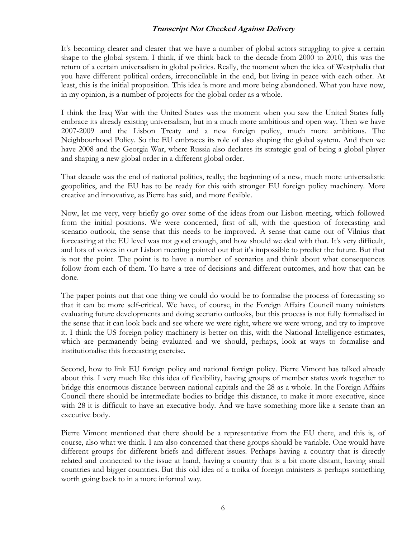It's becoming clearer and clearer that we have a number of global actors struggling to give a certain shape to the global system. I think, if we think back to the decade from 2000 to 2010, this was the return of a certain universalism in global politics. Really, the moment when the idea of Westphalia that you have different political orders, irreconcilable in the end, but living in peace with each other. At least, this is the initial proposition. This idea is more and more being abandoned. What you have now, in my opinion, is a number of projects for the global order as a whole.

I think the Iraq War with the United States was the moment when you saw the United States fully embrace its already existing universalism, but in a much more ambitious and open way. Then we have 2007-2009 and the Lisbon Treaty and a new foreign policy, much more ambitious. The Neighbourhood Policy. So the EU embraces its role of also shaping the global system. And then we have 2008 and the Georgia War, where Russia also declares its strategic goal of being a global player and shaping a new global order in a different global order.

That decade was the end of national politics, really; the beginning of a new, much more universalistic geopolitics, and the EU has to be ready for this with stronger EU foreign policy machinery. More creative and innovative, as Pierre has said, and more flexible.

Now, let me very, very briefly go over some of the ideas from our Lisbon meeting, which followed from the initial positions. We were concerned, first of all, with the question of forecasting and scenario outlook, the sense that this needs to be improved. A sense that came out of Vilnius that forecasting at the EU level was not good enough, and how should we deal with that. It's very difficult, and lots of voices in our Lisbon meeting pointed out that it's impossible to predict the future. But that is not the point. The point is to have a number of scenarios and think about what consequences follow from each of them. To have a tree of decisions and different outcomes, and how that can be done.

The paper points out that one thing we could do would be to formalise the process of forecasting so that it can be more self-critical. We have, of course, in the Foreign Affairs Council many ministers evaluating future developments and doing scenario outlooks, but this process is not fully formalised in the sense that it can look back and see where we were right, where we were wrong, and try to improve it. I think the US foreign policy machinery is better on this, with the National Intelligence estimates, which are permanently being evaluated and we should, perhaps, look at ways to formalise and institutionalise this forecasting exercise.

Second, how to link EU foreign policy and national foreign policy. Pierre Vimont has talked already about this. I very much like this idea of flexibility, having groups of member states work together to bridge this enormous distance between national capitals and the 28 as a whole. In the Foreign Affairs Council there should be intermediate bodies to bridge this distance, to make it more executive, since with 28 it is difficult to have an executive body. And we have something more like a senate than an executive body.

Pierre Vimont mentioned that there should be a representative from the EU there, and this is, of course, also what we think. I am also concerned that these groups should be variable. One would have different groups for different briefs and different issues. Perhaps having a country that is directly related and connected to the issue at hand, having a country that is a bit more distant, having small countries and bigger countries. But this old idea of a troika of foreign ministers is perhaps something worth going back to in a more informal way.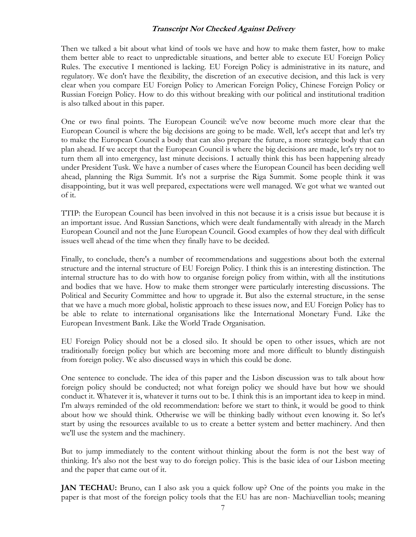Then we talked a bit about what kind of tools we have and how to make them faster, how to make them better able to react to unpredictable situations, and better able to execute EU Foreign Policy Rules. The executive I mentioned is lacking. EU Foreign Policy is administrative in its nature, and regulatory. We don't have the flexibility, the discretion of an executive decision, and this lack is very clear when you compare EU Foreign Policy to American Foreign Policy, Chinese Foreign Policy or Russian Foreign Policy. How to do this without breaking with our political and institutional tradition is also talked about in this paper.

One or two final points. The European Council: we've now become much more clear that the European Council is where the big decisions are going to be made. Well, let's accept that and let's try to make the European Council a body that can also prepare the future, a more strategic body that can plan ahead. If we accept that the European Council is where the big decisions are made, let's try not to turn them all into emergency, last minute decisions. I actually think this has been happening already under President Tusk. We have a number of cases where the European Council has been deciding well ahead, planning the Riga Summit. It's not a surprise the Riga Summit. Some people think it was disappointing, but it was well prepared, expectations were well managed. We got what we wanted out of it.

TTIP: the European Council has been involved in this not because it is a crisis issue but because it is an important issue. And Russian Sanctions, which were dealt fundamentally with already in the March European Council and not the June European Council. Good examples of how they deal with difficult issues well ahead of the time when they finally have to be decided.

Finally, to conclude, there's a number of recommendations and suggestions about both the external structure and the internal structure of EU Foreign Policy. I think this is an interesting distinction. The internal structure has to do with how to organise foreign policy from within, with all the institutions and bodies that we have. How to make them stronger were particularly interesting discussions. The Political and Security Committee and how to upgrade it. But also the external structure, in the sense that we have a much more global, holistic approach to these issues now, and EU Foreign Policy has to be able to relate to international organisations like the International Monetary Fund. Like the European Investment Bank. Like the World Trade Organisation.

EU Foreign Policy should not be a closed silo. It should be open to other issues, which are not traditionally foreign policy but which are becoming more and more difficult to bluntly distinguish from foreign policy. We also discussed ways in which this could be done.

One sentence to conclude. The idea of this paper and the Lisbon discussion was to talk about how foreign policy should be conducted; not what foreign policy we should have but how we should conduct it. Whatever it is, whatever it turns out to be. I think this is an important idea to keep in mind. I'm always reminded of the old recommendation: before we start to think, it would be good to think about how we should think. Otherwise we will be thinking badly without even knowing it. So let's start by using the resources available to us to create a better system and better machinery. And then we'll use the system and the machinery.

But to jump immediately to the content without thinking about the form is not the best way of thinking. It's also not the best way to do foreign policy. This is the basic idea of our Lisbon meeting and the paper that came out of it.

**JAN TECHAU:** Bruno, can I also ask you a quick follow up? One of the points you make in the paper is that most of the foreign policy tools that the EU has are non- Machiavellian tools; meaning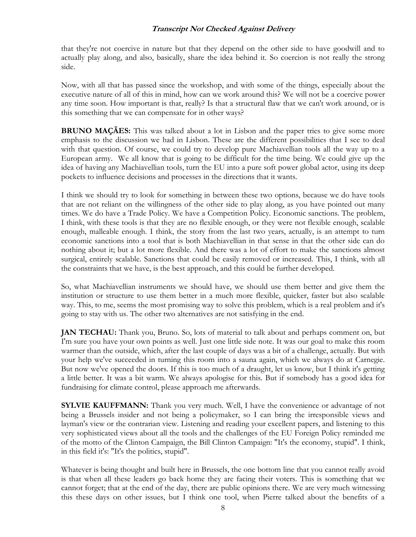that they're not coercive in nature but that they depend on the other side to have goodwill and to actually play along, and also, basically, share the idea behind it. So coercion is not really the strong side.

Now, with all that has passed since the workshop, and with some of the things, especially about the executive nature of all of this in mind, how can we work around this? We will not be a coercive power any time soon. How important is that, really? Is that a structural flaw that we can't work around, or is this something that we can compensate for in other ways?

**BRUNO MACÃES:** This was talked about a lot in Lisbon and the paper tries to give some more emphasis to the discussion we had in Lisbon. These are the different possibilities that I see to deal with that question. Of course, we could try to develop pure Machiavellian tools all the way up to a European army. We all know that is going to be difficult for the time being. We could give up the idea of having any Machiavellian tools, turn the EU into a pure soft power global actor, using its deep pockets to influence decisions and processes in the directions that it wants.

I think we should try to look for something in between these two options, because we do have tools that are not reliant on the willingness of the other side to play along, as you have pointed out many times. We do have a Trade Policy. We have a Competition Policy. Economic sanctions. The problem, I think, with these tools is that they are no flexible enough, or they were not flexible enough, scalable enough, malleable enough. I think, the story from the last two years, actually, is an attempt to turn economic sanctions into a tool that is both Machiavellian in that sense in that the other side can do nothing about it; but a lot more flexible. And there was a lot of effort to make the sanctions almost surgical, entirely scalable. Sanctions that could be easily removed or increased. This, I think, with all the constraints that we have, is the best approach, and this could be further developed.

So, what Machiavellian instruments we should have, we should use them better and give them the institution or structure to use them better in a much more flexible, quicker, faster but also scalable way. This, to me, seems the most promising way to solve this problem, which is a real problem and it's going to stay with us. The other two alternatives are not satisfying in the end.

**JAN TECHAU:** Thank you, Bruno. So, lots of material to talk about and perhaps comment on, but I'm sure you have your own points as well. Just one little side note. It was our goal to make this room warmer than the outside, which, after the last couple of days was a bit of a challenge, actually. But with your help we've succeeded in turning this room into a sauna again, which we always do at Carnegie. But now we've opened the doors. If this is too much of a draught, let us know, but I think it's getting a little better. It was a bit warm. We always apologise for this. But if somebody has a good idea for fundraising for climate control, please approach me afterwards.

**SYLVIE KAUFFMANN:** Thank you very much. Well, I have the convenience or advantage of not being a Brussels insider and not being a policymaker, so I can bring the irresponsible views and layman's view or the contrarian view. Listening and reading your excellent papers, and listening to this very sophisticated views about all the tools and the challenges of the EU Foreign Policy reminded me of the motto of the Clinton Campaign, the Bill Clinton Campaign: "It's the economy, stupid". I think, in this field it's: "It's the politics, stupid".

Whatever is being thought and built here in Brussels, the one bottom line that you cannot really avoid is that when all these leaders go back home they are facing their voters. This is something that we cannot forget; that at the end of the day, there are public opinions there. We are very much witnessing this these days on other issues, but I think one tool, when Pierre talked about the benefits of a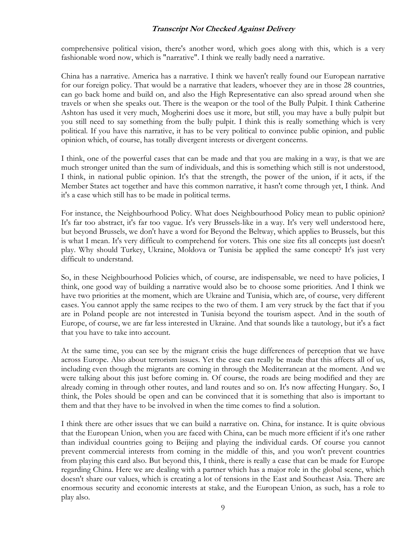comprehensive political vision, there's another word, which goes along with this, which is a very fashionable word now, which is "narrative". I think we really badly need a narrative.

China has a narrative. America has a narrative. I think we haven't really found our European narrative for our foreign policy. That would be a narrative that leaders, whoever they are in those 28 countries, can go back home and build on, and also the High Representative can also spread around when she travels or when she speaks out. There is the weapon or the tool of the Bully Pulpit. I think Catherine Ashton has used it very much, Mogherini does use it more, but still, you may have a bully pulpit but you still need to say something from the bully pulpit. I think this is really something which is very political. If you have this narrative, it has to be very political to convince public opinion, and public opinion which, of course, has totally divergent interests or divergent concerns.

I think, one of the powerful cases that can be made and that you are making in a way, is that we are much stronger united than the sum of individuals, and this is something which still is not understood, I think, in national public opinion. It's that the strength, the power of the union, if it acts, if the Member States act together and have this common narrative, it hasn't come through yet, I think. And it's a case which still has to be made in political terms.

For instance, the Neighbourhood Policy. What does Neighbourhood Policy mean to public opinion? It's far too abstract, it's far too vague. It's very Brussels-like in a way. It's very well understood here, but beyond Brussels, we don't have a word for Beyond the Beltway, which applies to Brussels, but this is what I mean. It's very difficult to comprehend for voters. This one size fits all concepts just doesn't play. Why should Turkey, Ukraine, Moldova or Tunisia be applied the same concept? It's just very difficult to understand.

So, in these Neighbourhood Policies which, of course, are indispensable, we need to have policies, I think, one good way of building a narrative would also be to choose some priorities. And I think we have two priorities at the moment, which are Ukraine and Tunisia, which are, of course, very different cases. You cannot apply the same recipes to the two of them. I am very struck by the fact that if you are in Poland people are not interested in Tunisia beyond the tourism aspect. And in the south of Europe, of course, we are far less interested in Ukraine. And that sounds like a tautology, but it's a fact that you have to take into account.

At the same time, you can see by the migrant crisis the huge differences of perception that we have across Europe. Also about terrorism issues. Yet the case can really be made that this affects all of us, including even though the migrants are coming in through the Mediterranean at the moment. And we were talking about this just before coming in. Of course, the roads are being modified and they are already coming in through other routes, and land routes and so on. It's now affecting Hungary. So, I think, the Poles should be open and can be convinced that it is something that also is important to them and that they have to be involved in when the time comes to find a solution.

I think there are other issues that we can build a narrative on. China, for instance. It is quite obvious that the European Union, when you are faced with China, can be much more efficient if it's one rather than individual countries going to Beijing and playing the individual cards. Of course you cannot prevent commercial interests from coming in the middle of this, and you won't prevent countries from playing this card also. But beyond this, I think, there is really a case that can be made for Europe regarding China. Here we are dealing with a partner which has a major role in the global scene, which doesn't share our values, which is creating a lot of tensions in the East and Southeast Asia. There are enormous security and economic interests at stake, and the European Union, as such, has a role to play also.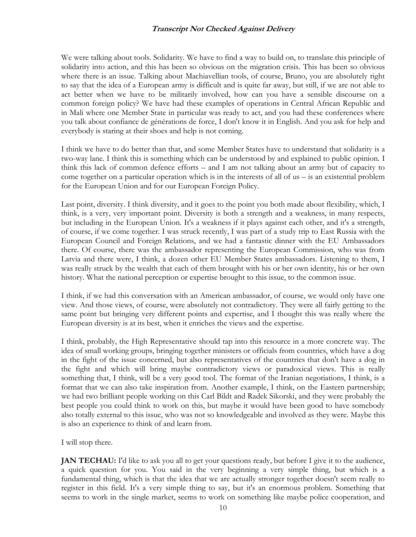We were talking about tools. Solidarity. We have to find a way to build on, to translate this principle of solidarity into action, and this has been so obvious on the migration crisis. This has been so obvious where there is an issue. Talking about Machiavellian tools, of course, Bruno, you are absolutely right to say that the idea of a European army is difficult and is quite far away, but still, if we are not able to act better when we have to be militarily involved, how can you have a sensible discourse on a common foreign policy? We have had these examples of operations in Central African Republic and in Mali where one Member State in particular was ready to act, and you had these conferences where you talk about confiance de générations de force, I don't know it in English. And you ask for help and everybody is staring at their shoes and help is not coming.

I think we have to do better than that, and some Member States have to understand that solidarity is a two-way lane. I think this is something which can be understood by and explained to public opinion. I think this lack of common defence efforts – and I am not talking about an army but of capacity to come together on a particular operation which is in the interests of all of us  $-$  is an existential problem for the European Union and for our European Foreign Policy.

Last point, diversity. I think diversity, and it goes to the point you both made about flexibility, which, I think, is a very, very important point. Diversity is both a strength and a weakness, in many respects, but including in the European Union. It's a weakness if it plays against each other, and it's a strength, of course, if we come together. I was struck recently, I was part of a study trip to East Russia with the European Council and Foreign Relations, and we had a fantastic dinner with the EU Ambassadors there. Of course, there was the ambassador representing the European Commission, who was from Latvia and there were, I think, a dozen other EU Member States ambassadors. Listening to them, I was really struck by the wealth that each of them brought with his or her own identity, his or her own history. What the national perception or expertise brought to this issue, to the common issue.

I think, if we had this conversation with an American ambassador, of course, we would only have one view. And those views, of course, were absolutely not contradictory. They were all fairly getting to the same point but bringing very different points and expertise, and I thought this was really where the European diversity is at its best, when it enriches the views and the expertise.

I think, probably, the High Representative should tap into this resource in a more concrete way. The idea of small working groups, bringing together ministers or officials from countries, which have a dog in the fight of the issue concerned, but also representatives of the countries that don't have a dog in the fight and which will bring maybe contradictory views or paradoxical views. This is really something that, I think, will be a very good tool. The format of the Iranian negotiations, I think, is a format that we can also take inspiration from. Another example, I think, on the Eastern partnership; we had two brilliant people working on this Carl Bildt and Radek Sikorski, and they were probably the best people you could think to work on this, but maybe it would have been good to have somebody also totally external to this issue, who was not so knowledgeable and involved as they were. Maybe this is also an experience to think of and learn from.

I will stop there.

**JAN TECHAU:** I'd like to ask you all to get your questions ready, but before I give it to the audience, a quick question for you. You said in the very beginning a very simple thing, but which is a fundamental thing, which is that the idea that we are actually stronger together doesn't seem really to register in this field. It's a very simple thing to say, but it's an enormous problem. Something that seems to work in the single market, seems to work on something like maybe police cooperation, and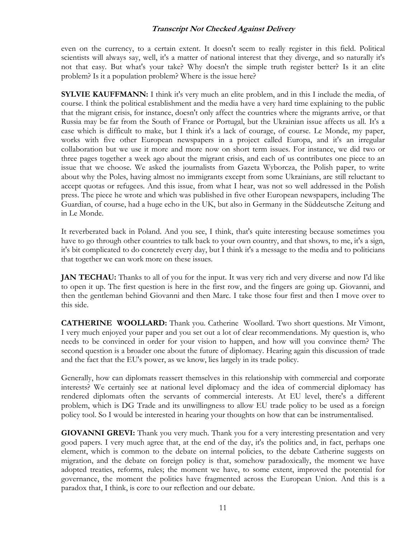even on the currency, to a certain extent. It doesn't seem to really register in this field. Political scientists will always say, well, it's a matter of national interest that they diverge, and so naturally it's not that easy. But what's your take? Why doesn't the simple truth register better? Is it an elite problem? Is it a population problem? Where is the issue here?

**SYLVIE KAUFFMANN:** I think it's very much an elite problem, and in this I include the media, of course. I think the political establishment and the media have a very hard time explaining to the public that the migrant crisis, for instance, doesn't only affect the countries where the migrants arrive, or that Russia may be far from the South of France or Portugal, but the Ukrainian issue affects us all. It's a case which is difficult to make, but I think it's a lack of courage, of course. Le Monde, my paper, works with five other European newspapers in a project called Europa, and it's an irregular collaboration but we use it more and more now on short term issues. For instance, we did two or three pages together a week ago about the migrant crisis, and each of us contributes one piece to an issue that we choose. We asked the journalists from Gazeta Wyborcza, the Polish paper, to write about why the Poles, having almost no immigrants except from some Ukrainians, are still reluctant to accept quotas or refugees. And this issue, from what I hear, was not so well addressed in the Polish press. The piece he wrote and which was published in five other European newspapers, including The Guardian, of course, had a huge echo in the UK, but also in Germany in the Süddeutsche Zeitung and in Le Monde.

It reverberated back in Poland. And you see, I think, that's quite interesting because sometimes you have to go through other countries to talk back to your own country, and that shows, to me, it's a sign, it's bit complicated to do concretely every day, but I think it's a message to the media and to politicians that together we can work more on these issues.

**JAN TECHAU:** Thanks to all of you for the input. It was very rich and very diverse and now I'd like to open it up. The first question is here in the first row, and the fingers are going up. Giovanni, and then the gentleman behind Giovanni and then Marc. I take those four first and then I move over to this side.

**CATHERINE WOOLLARD:** Thank you. Catherine Woollard. Two short questions. Mr Vimont, I very much enjoyed your paper and you set out a lot of clear recommendations. My question is, who needs to be convinced in order for your vision to happen, and how will you convince them? The second question is a broader one about the future of diplomacy. Hearing again this discussion of trade and the fact that the EU's power, as we know, lies largely in its trade policy.

Generally, how can diplomats reassert themselves in this relationship with commercial and corporate interests? We certainly see at national level diplomacy and the idea of commercial diplomacy has rendered diplomats often the servants of commercial interests. At EU level, there's a different problem, which is DG Trade and its unwillingness to allow EU trade policy to be used as a foreign policy tool. So I would be interested in hearing your thoughts on how that can be instrumentalised.

**GIOVANNI GREVI:** Thank you very much. Thank you for a very interesting presentation and very good papers. I very much agree that, at the end of the day, it's the politics and, in fact, perhaps one element, which is common to the debate on internal policies, to the debate Catherine suggests on migration, and the debate on foreign policy is that, somehow paradoxically, the moment we have adopted treaties, reforms, rules; the moment we have, to some extent, improved the potential for governance, the moment the politics have fragmented across the European Union. And this is a paradox that, I think, is core to our reflection and our debate.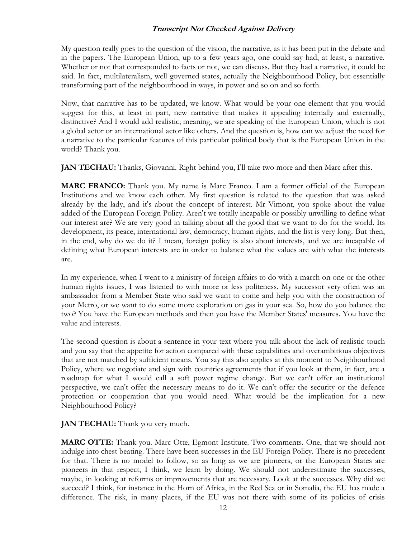My question really goes to the question of the vision, the narrative, as it has been put in the debate and in the papers. The European Union, up to a few years ago, one could say had, at least, a narrative. Whether or not that corresponded to facts or not, we can discuss. But they had a narrative, it could be said. In fact, multilateralism, well governed states, actually the Neighbourhood Policy, but essentially transforming part of the neighbourhood in ways, in power and so on and so forth.

Now, that narrative has to be updated, we know. What would be your one element that you would suggest for this, at least in part, new narrative that makes it appealing internally and externally, distinctive? And I would add realistic; meaning, we are speaking of the European Union, which is not a global actor or an international actor like others. And the question is, how can we adjust the need for a narrative to the particular features of this particular political body that is the European Union in the world? Thank you.

**JAN TECHAU:** Thanks, Giovanni. Right behind you, I'll take two more and then Marc after this.

**MARC FRANCO:** Thank you. My name is Marc Franco. I am a former official of the European Institutions and we know each other. My first question is related to the question that was asked already by the lady, and it's about the concept of interest. Mr Vimont, you spoke about the value added of the European Foreign Policy. Aren't we totally incapable or possibly unwilling to define what our interest are? We are very good in talking about all the good that we want to do for the world. Its development, its peace, international law, democracy, human rights, and the list is very long. But then, in the end, why do we do it? I mean, foreign policy is also about interests, and we are incapable of defining what European interests are in order to balance what the values are with what the interests are.

In my experience, when I went to a ministry of foreign affairs to do with a march on one or the other human rights issues, I was listened to with more or less politeness. My successor very often was an ambassador from a Member State who said we want to come and help you with the construction of your Metro, or we want to do some more exploration on gas in your sea. So, how do you balance the two? You have the European methods and then you have the Member States' measures. You have the value and interests.

The second question is about a sentence in your text where you talk about the lack of realistic touch and you say that the appetite for action compared with these capabilities and overambitious objectives that are not matched by sufficient means. You say this also applies at this moment to Neighbourhood Policy, where we negotiate and sign with countries agreements that if you look at them, in fact, are a roadmap for what I would call a soft power regime change. But we can't offer an institutional perspective, we can't offer the necessary means to do it. We can't offer the security or the defence protection or cooperation that you would need. What would be the implication for a new Neighbourhood Policy?

**JAN TECHAU:** Thank you very much.

**MARC OTTE:** Thank you. Marc Otte, Egmont Institute. Two comments. One, that we should not indulge into chest beating. There have been successes in the EU Foreign Policy. There is no precedent for that. There is no model to follow, so as long as we are pioneers, or the European States are pioneers in that respect, I think, we learn by doing. We should not underestimate the successes, maybe, in looking at reforms or improvements that are necessary. Look at the successes. Why did we succeed? I think, for instance in the Horn of Africa, in the Red Sea or in Somalia, the EU has made a difference. The risk, in many places, if the EU was not there with some of its policies of crisis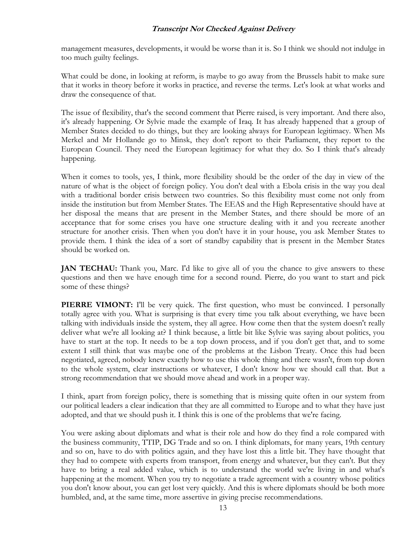management measures, developments, it would be worse than it is. So I think we should not indulge in too much guilty feelings.

What could be done, in looking at reform, is maybe to go away from the Brussels habit to make sure that it works in theory before it works in practice, and reverse the terms. Let's look at what works and draw the consequence of that.

The issue of flexibility, that's the second comment that Pierre raised, is very important. And there also, it's already happening. Or Sylvie made the example of Iraq. It has already happened that a group of Member States decided to do things, but they are looking always for European legitimacy. When Ms Merkel and Mr Hollande go to Minsk, they don't report to their Parliament, they report to the European Council. They need the European legitimacy for what they do. So I think that's already happening.

When it comes to tools, yes, I think, more flexibility should be the order of the day in view of the nature of what is the object of foreign policy. You don't deal with a Ebola crisis in the way you deal with a traditional border crisis between two countries. So this flexibility must come not only from inside the institution but from Member States. The EEAS and the High Representative should have at her disposal the means that are present in the Member States, and there should be more of an acceptance that for some crises you have one structure dealing with it and you recreate another structure for another crisis. Then when you don't have it in your house, you ask Member States to provide them. I think the idea of a sort of standby capability that is present in the Member States should be worked on.

**JAN TECHAU:** Thank you, Marc. I'd like to give all of you the chance to give answers to these questions and then we have enough time for a second round. Pierre, do you want to start and pick some of these things?

**PIERRE VIMONT:** I'll be very quick. The first question, who must be convinced. I personally totally agree with you. What is surprising is that every time you talk about everything, we have been talking with individuals inside the system, they all agree. How come then that the system doesn't really deliver what we're all looking at? I think because, a little bit like Sylvie was saying about politics, you have to start at the top. It needs to be a top down process, and if you don't get that, and to some extent I still think that was maybe one of the problems at the Lisbon Treaty. Once this had been negotiated, agreed, nobody knew exactly how to use this whole thing and there wasn't, from top down to the whole system, clear instructions or whatever, I don't know how we should call that. But a strong recommendation that we should move ahead and work in a proper way.

I think, apart from foreign policy, there is something that is missing quite often in our system from our political leaders a clear indication that they are all committed to Europe and to what they have just adopted, and that we should push it. I think this is one of the problems that we're facing.

You were asking about diplomats and what is their role and how do they find a role compared with the business community, TTIP, DG Trade and so on. I think diplomats, for many years, 19th century and so on, have to do with politics again, and they have lost this a little bit. They have thought that they had to compete with experts from transport, from energy and whatever, but they can't. But they have to bring a real added value, which is to understand the world we're living in and what's happening at the moment. When you try to negotiate a trade agreement with a country whose politics you don't know about, you can get lost very quickly. And this is where diplomats should be both more humbled, and, at the same time, more assertive in giving precise recommendations.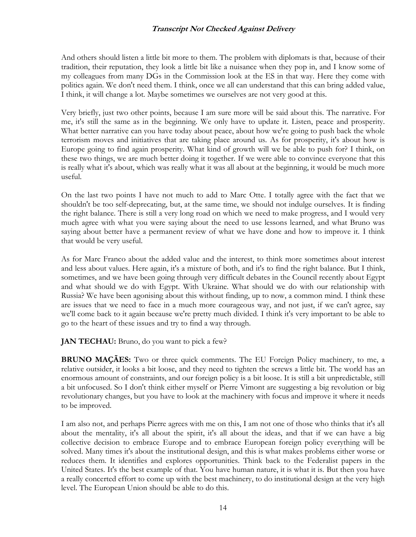And others should listen a little bit more to them. The problem with diplomats is that, because of their tradition, their reputation, they look a little bit like a nuisance when they pop in, and I know some of my colleagues from many DGs in the Commission look at the ES in that way. Here they come with politics again. We don't need them. I think, once we all can understand that this can bring added value, I think, it will change a lot. Maybe sometimes we ourselves are not very good at this.

Very briefly, just two other points, because I am sure more will be said about this. The narrative. For me, it's still the same as in the beginning. We only have to update it. Listen, peace and prosperity. What better narrative can you have today about peace, about how we're going to push back the whole terrorism moves and initiatives that are taking place around us. As for prosperity, it's about how is Europe going to find again prosperity. What kind of growth will we be able to push for? I think, on these two things, we are much better doing it together. If we were able to convince everyone that this is really what it's about, which was really what it was all about at the beginning, it would be much more useful.

On the last two points I have not much to add to Marc Otte. I totally agree with the fact that we shouldn't be too self-deprecating, but, at the same time, we should not indulge ourselves. It is finding the right balance. There is still a very long road on which we need to make progress, and I would very much agree with what you were saying about the need to use lessons learned, and what Bruno was saying about better have a permanent review of what we have done and how to improve it. I think that would be very useful.

As for Marc Franco about the added value and the interest, to think more sometimes about interest and less about values. Here again, it's a mixture of both, and it's to find the right balance. But I think, sometimes, and we have been going through very difficult debates in the Council recently about Egypt and what should we do with Egypt. With Ukraine. What should we do with our relationship with Russia? We have been agonising about this without finding, up to now, a common mind. I think these are issues that we need to face in a much more courageous way, and not just, if we can't agree, say we'll come back to it again because we're pretty much divided. I think it's very important to be able to go to the heart of these issues and try to find a way through.

**JAN TECHAU:** Bruno, do you want to pick a few?

**BRUNO MAÇÃES:** Two or three quick comments. The EU Foreign Policy machinery, to me, a relative outsider, it looks a bit loose, and they need to tighten the screws a little bit. The world has an enormous amount of constraints, and our foreign policy is a bit loose. It is still a bit unpredictable, still a bit unfocused. So I don't think either myself or Pierre Vimont are suggesting a big revolution or big revolutionary changes, but you have to look at the machinery with focus and improve it where it needs to be improved.

I am also not, and perhaps Pierre agrees with me on this, I am not one of those who thinks that it's all about the mentality, it's all about the spirit, it's all about the ideas, and that if we can have a big collective decision to embrace Europe and to embrace European foreign policy everything will be solved. Many times it's about the institutional design, and this is what makes problems either worse or reduces them. It identifies and explores opportunities. Think back to the Federalist papers in the United States. It's the best example of that. You have human nature, it is what it is. But then you have a really concerted effort to come up with the best machinery, to do institutional design at the very high level. The European Union should be able to do this.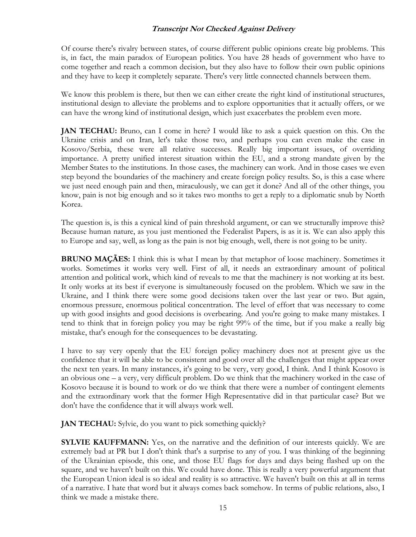Of course there's rivalry between states, of course different public opinions create big problems. This is, in fact, the main paradox of European politics. You have 28 heads of government who have to come together and reach a common decision, but they also have to follow their own public opinions and they have to keep it completely separate. There's very little connected channels between them.

We know this problem is there, but then we can either create the right kind of institutional structures, institutional design to alleviate the problems and to explore opportunities that it actually offers, or we can have the wrong kind of institutional design, which just exacerbates the problem even more.

**JAN TECHAU:** Bruno, can I come in here? I would like to ask a quick question on this. On the Ukraine crisis and on Iran, let's take those two, and perhaps you can even make the case in Kosovo/Serbia, these were all relative successes. Really big important issues, of overriding importance. A pretty unified interest situation within the EU, and a strong mandate given by the Member States to the institutions. In those cases, the machinery can work. And in those cases we even step beyond the boundaries of the machinery and create foreign policy results. So, is this a case where we just need enough pain and then, miraculously, we can get it done? And all of the other things, you know, pain is not big enough and so it takes two months to get a reply to a diplomatic snub by North Korea.

The question is, is this a cynical kind of pain threshold argument, or can we structurally improve this? Because human nature, as you just mentioned the Federalist Papers, is as it is. We can also apply this to Europe and say, well, as long as the pain is not big enough, well, there is not going to be unity.

**BRUNO MAÇÃES:** I think this is what I mean by that metaphor of loose machinery. Sometimes it works. Sometimes it works very well. First of all, it needs an extraordinary amount of political attention and political work, which kind of reveals to me that the machinery is not working at its best. It only works at its best if everyone is simultaneously focused on the problem. Which we saw in the Ukraine, and I think there were some good decisions taken over the last year or two. But again, enormous pressure, enormous political concentration. The level of effort that was necessary to come up with good insights and good decisions is overbearing. And you're going to make many mistakes. I tend to think that in foreign policy you may be right 99% of the time, but if you make a really big mistake, that's enough for the consequences to be devastating.

I have to say very openly that the EU foreign policy machinery does not at present give us the confidence that it will be able to be consistent and good over all the challenges that might appear over the next ten years. In many instances, it's going to be very, very good, I think. And I think Kosovo is an obvious one – a very, very difficult problem. Do we think that the machinery worked in the case of Kosovo because it is bound to work or do we think that there were a number of contingent elements and the extraordinary work that the former High Representative did in that particular case? But we don't have the confidence that it will always work well.

**JAN TECHAU:** Sylvie, do you want to pick something quickly?

**SYLVIE KAUFFMANN:** Yes, on the narrative and the definition of our interests quickly. We are extremely bad at PR but I don't think that's a surprise to any of you. I was thinking of the beginning of the Ukrainian episode, this one, and those EU flags for days and days being flashed up on the square, and we haven't built on this. We could have done. This is really a very powerful argument that the European Union ideal is so ideal and reality is so attractive. We haven't built on this at all in terms of a narrative. I hate that word but it always comes back somehow. In terms of public relations, also, I think we made a mistake there.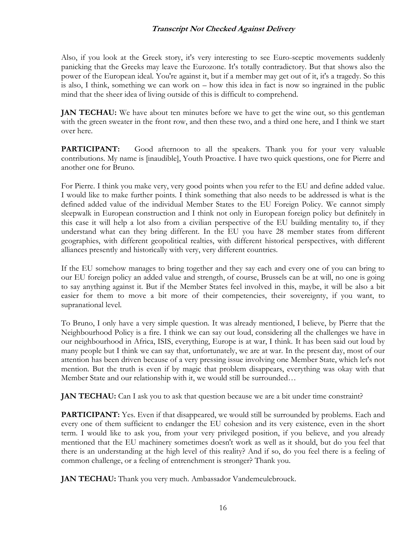Also, if you look at the Greek story, it's very interesting to see Euro-sceptic movements suddenly panicking that the Greeks may leave the Eurozone. It's totally contradictory. But that shows also the power of the European ideal. You're against it, but if a member may get out of it, it's a tragedy. So this is also, I think, something we can work on – how this idea in fact is now so ingrained in the public mind that the sheer idea of living outside of this is difficult to comprehend.

**JAN TECHAU:** We have about ten minutes before we have to get the wine out, so this gentleman with the green sweater in the front row, and then these two, and a third one here, and I think we start over here.

**PARTICIPANT:** Good afternoon to all the speakers. Thank you for your very valuable contributions. My name is [inaudible], Youth Proactive. I have two quick questions, one for Pierre and another one for Bruno.

For Pierre. I think you make very, very good points when you refer to the EU and define added value. I would like to make further points. I think something that also needs to be addressed is what is the defined added value of the individual Member States to the EU Foreign Policy. We cannot simply sleepwalk in European construction and I think not only in European foreign policy but definitely in this case it will help a lot also from a civilian perspective of the EU building mentality to, if they understand what can they bring different. In the EU you have 28 member states from different geographies, with different geopolitical realties, with different historical perspectives, with different alliances presently and historically with very, very different countries.

If the EU somehow manages to bring together and they say each and every one of you can bring to our EU foreign policy an added value and strength, of course, Brussels can be at will, no one is going to say anything against it. But if the Member States feel involved in this, maybe, it will be also a bit easier for them to move a bit more of their competencies, their sovereignty, if you want, to supranational level.

To Bruno, I only have a very simple question. It was already mentioned, I believe, by Pierre that the Neighbourhood Policy is a fire. I think we can say out loud, considering all the challenges we have in our neighbourhood in Africa, ISIS, everything, Europe is at war, I think. It has been said out loud by many people but I think we can say that, unfortunately, we are at war. In the present day, most of our attention has been driven because of a very pressing issue involving one Member State, which let's not mention. But the truth is even if by magic that problem disappears, everything was okay with that Member State and our relationship with it, we would still be surrounded…

**JAN TECHAU:** Can I ask you to ask that question because we are a bit under time constraint?

**PARTICIPANT:** Yes. Even if that disappeared, we would still be surrounded by problems. Each and every one of them sufficient to endanger the EU cohesion and its very existence, even in the short term. I would like to ask you, from your very privileged position, if you believe, and you already mentioned that the EU machinery sometimes doesn't work as well as it should, but do you feel that there is an understanding at the high level of this reality? And if so, do you feel there is a feeling of common challenge, or a feeling of entrenchment is stronger? Thank you.

**JAN TECHAU:** Thank you very much. Ambassador Vandemeulebrouck.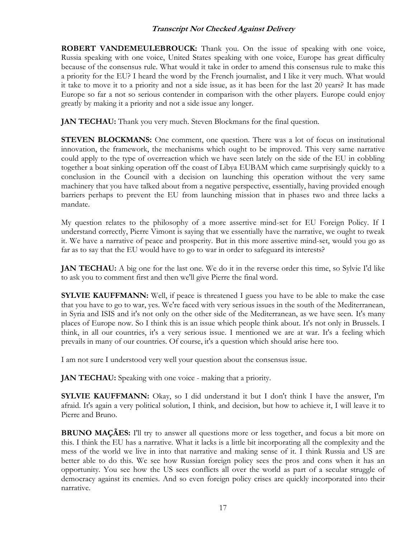**ROBERT VANDEMEULEBROUCK:** Thank you. On the issue of speaking with one voice, Russia speaking with one voice, United States speaking with one voice, Europe has great difficulty because of the consensus rule. What would it take in order to amend this consensus rule to make this a priority for the EU? I heard the word by the French journalist, and I like it very much. What would it take to move it to a priority and not a side issue, as it has been for the last 20 years? It has made Europe so far a not so serious contender in comparison with the other players. Europe could enjoy greatly by making it a priority and not a side issue any longer.

**JAN TECHAU:** Thank you very much. Steven Blockmans for the final question.

**STEVEN BLOCKMANS:** One comment, one question. There was a lot of focus on institutional innovation, the framework, the mechanisms which ought to be improved. This very same narrative could apply to the type of overreaction which we have seen lately on the side of the EU in cobbling together a boat sinking operation off the coast of Libya EUBAM which came surprisingly quickly to a conclusion in the Council with a decision on launching this operation without the very same machinery that you have talked about from a negative perspective, essentially, having provided enough barriers perhaps to prevent the EU from launching mission that in phases two and three lacks a mandate.

My question relates to the philosophy of a more assertive mind-set for EU Foreign Policy. If I understand correctly, Pierre Vimont is saying that we essentially have the narrative, we ought to tweak it. We have a narrative of peace and prosperity. But in this more assertive mind-set, would you go as far as to say that the EU would have to go to war in order to safeguard its interests?

**JAN TECHAU:** A big one for the last one. We do it in the reverse order this time, so Sylvie I'd like to ask you to comment first and then we'll give Pierre the final word.

**SYLVIE KAUFFMANN:** Well, if peace is threatened I guess you have to be able to make the case that you have to go to war, yes. We're faced with very serious issues in the south of the Mediterranean, in Syria and ISIS and it's not only on the other side of the Mediterranean, as we have seen. It's many places of Europe now. So I think this is an issue which people think about. It's not only in Brussels. I think, in all our countries, it's a very serious issue. I mentioned we are at war. It's a feeling which prevails in many of our countries. Of course, it's a question which should arise here too.

I am not sure I understood very well your question about the consensus issue.

**JAN TECHAU:** Speaking with one voice - making that a priority.

**SYLVIE KAUFFMANN:** Okay, so I did understand it but I don't think I have the answer, I'm afraid. It's again a very political solution, I think, and decision, but how to achieve it, I will leave it to Pierre and Bruno.

**BRUNO MAÇÃES:** I'll try to answer all questions more or less together, and focus a bit more on this. I think the EU has a narrative. What it lacks is a little bit incorporating all the complexity and the mess of the world we live in into that narrative and making sense of it. I think Russia and US are better able to do this. We see how Russian foreign policy sees the pros and cons when it has an opportunity. You see how the US sees conflicts all over the world as part of a secular struggle of democracy against its enemies. And so even foreign policy crises are quickly incorporated into their narrative.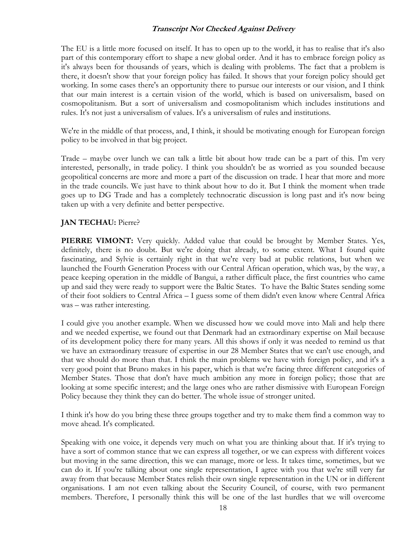The EU is a little more focused on itself. It has to open up to the world, it has to realise that it's also part of this contemporary effort to shape a new global order. And it has to embrace foreign policy as it's always been for thousands of years, which is dealing with problems. The fact that a problem is there, it doesn't show that your foreign policy has failed. It shows that your foreign policy should get working. In some cases there's an opportunity there to pursue our interests or our vision, and I think that our main interest is a certain vision of the world, which is based on universalism, based on cosmopolitanism. But a sort of universalism and cosmopolitanism which includes institutions and rules. It's not just a universalism of values. It's a universalism of rules and institutions.

We're in the middle of that process, and, I think, it should be motivating enough for European foreign policy to be involved in that big project.

Trade – maybe over lunch we can talk a little bit about how trade can be a part of this. I'm very interested, personally, in trade policy. I think you shouldn't be as worried as you sounded because geopolitical concerns are more and more a part of the discussion on trade. I hear that more and more in the trade councils. We just have to think about how to do it. But I think the moment when trade goes up to DG Trade and has a completely technocratic discussion is long past and it's now being taken up with a very definite and better perspective.

# **JAN TECHAU:** Pierre?

**PIERRE VIMONT:** Very quickly. Added value that could be brought by Member States. Yes, definitely, there is no doubt. But we're doing that already, to some extent. What I found quite fascinating, and Sylvie is certainly right in that we're very bad at public relations, but when we launched the Fourth Generation Process with our Central African operation, which was, by the way, a peace keeping operation in the middle of Bangui, a rather difficult place, the first countries who came up and said they were ready to support were the Baltic States. To have the Baltic States sending some of their foot soldiers to Central Africa – I guess some of them didn't even know where Central Africa was – was rather interesting.

I could give you another example. When we discussed how we could move into Mali and help there and we needed expertise, we found out that Denmark had an extraordinary expertise on Mail because of its development policy there for many years. All this shows if only it was needed to remind us that we have an extraordinary treasure of expertise in our 28 Member States that we can't use enough, and that we should do more than that. I think the main problems we have with foreign policy, and it's a very good point that Bruno makes in his paper, which is that we're facing three different categories of Member States. Those that don't have much ambition any more in foreign policy; those that are looking at some specific interest; and the large ones who are rather dismissive with European Foreign Policy because they think they can do better. The whole issue of stronger united.

I think it's how do you bring these three groups together and try to make them find a common way to move ahead. It's complicated.

Speaking with one voice, it depends very much on what you are thinking about that. If it's trying to have a sort of common stance that we can express all together, or we can express with different voices but moving in the same direction, this we can manage, more or less. It takes time, sometimes, but we can do it. If you're talking about one single representation, I agree with you that we're still very far away from that because Member States relish their own single representation in the UN or in different organisations. I am not even talking about the Security Council, of course, with two permanent members. Therefore, I personally think this will be one of the last hurdles that we will overcome